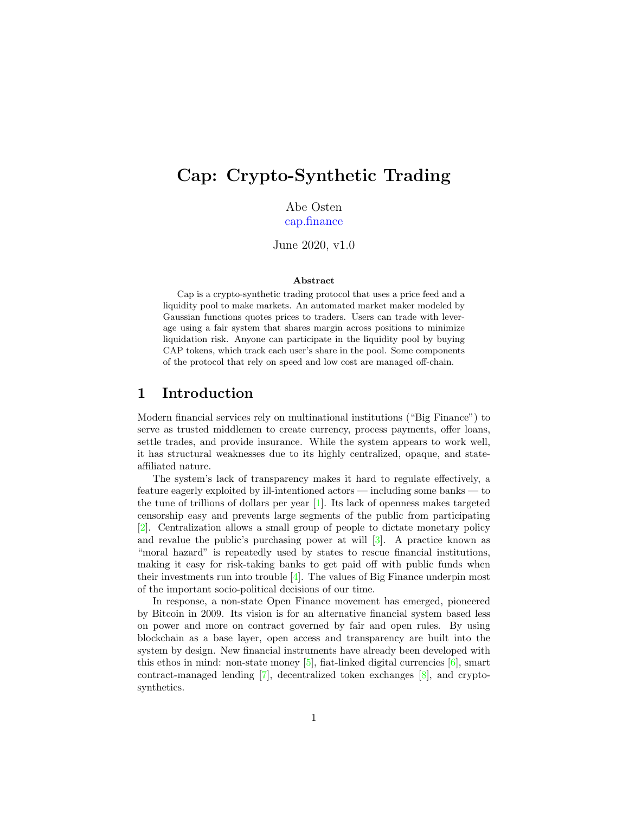# Cap: Crypto-Synthetic Trading

Abe Osten [cap.finance](https://cap.finance)

June 2020, v1.0

#### Abstract

Cap is a crypto-synthetic trading protocol that uses a price feed and a liquidity pool to make markets. An automated market maker modeled by Gaussian functions quotes prices to traders. Users can trade with leverage using a fair system that shares margin across positions to minimize liquidation risk. Anyone can participate in the liquidity pool by buying CAP tokens, which track each user's share in the pool. Some components of the protocol that rely on speed and low cost are managed off-chain.

## 1 Introduction

Modern financial services rely on multinational institutions ("Big Finance") to serve as trusted middlemen to create currency, process payments, offer loans, settle trades, and provide insurance. While the system appears to work well, it has structural weaknesses due to its highly centralized, opaque, and stateaffiliated nature.

The system's lack of transparency makes it hard to regulate effectively, a feature eagerly exploited by ill-intentioned actors — including some banks — to the tune of trillions of dollars per year [\[1\]](#page-15-0). Its lack of openness makes targeted censorship easy and prevents large segments of the public from participating [\[2\]](#page-15-1). Centralization allows a small group of people to dictate monetary policy and revalue the public's purchasing power at will [\[3\]](#page-15-2). A practice known as "moral hazard" is repeatedly used by states to rescue financial institutions, making it easy for risk-taking banks to get paid off with public funds when their investments run into trouble  $[4]$ . The values of Big Finance underpin most of the important socio-political decisions of our time.

In response, a non-state Open Finance movement has emerged, pioneered by Bitcoin in 2009. Its vision is for an alternative financial system based less on power and more on contract governed by fair and open rules. By using blockchain as a base layer, open access and transparency are built into the system by design. New financial instruments have already been developed with this ethos in mind: non-state money [\[5\]](#page-15-4), fiat-linked digital currencies  $[6]$ , smart contract-managed lending [\[7\]](#page-15-6), decentralized token exchanges [\[8\]](#page-15-7), and cryptosynthetics.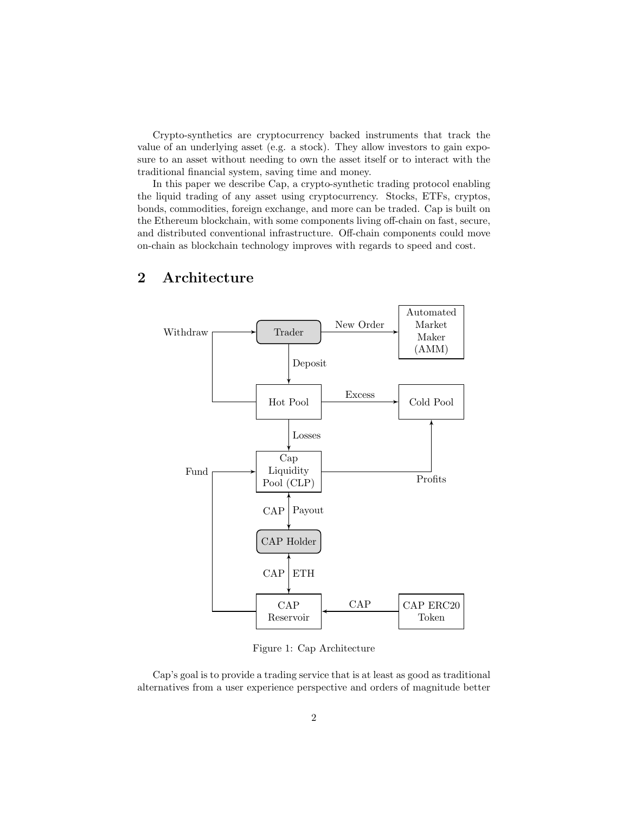Crypto-synthetics are cryptocurrency backed instruments that track the value of an underlying asset (e.g. a stock). They allow investors to gain exposure to an asset without needing to own the asset itself or to interact with the traditional financial system, saving time and money.

In this paper we describe Cap, a crypto-synthetic trading protocol enabling the liquid trading of any asset using cryptocurrency. Stocks, ETFs, cryptos, bonds, commodities, foreign exchange, and more can be traded. Cap is built on the Ethereum blockchain, with some components living off-chain on fast, secure, and distributed conventional infrastructure. Off-chain components could move on-chain as blockchain technology improves with regards to speed and cost.



# 2 Architecture

Figure 1: Cap Architecture

Cap's goal is to provide a trading service that is at least as good as traditional alternatives from a user experience perspective and orders of magnitude better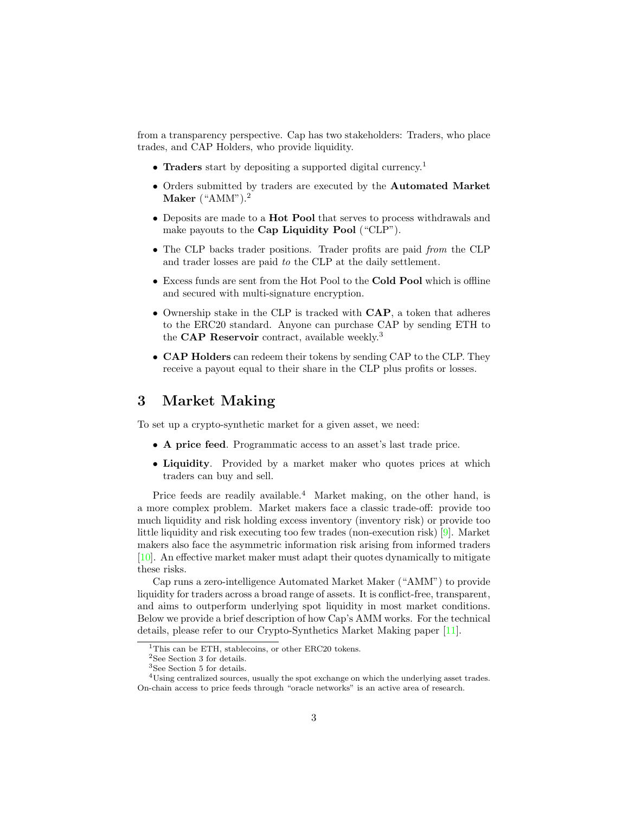from a transparency perspective. Cap has two stakeholders: Traders, who place trades, and CAP Holders, who provide liquidity.

- Traders start by depositing a supported digital currency.<sup>[1](#page-2-0)</sup>
- Orders submitted by traders are executed by the Automated Market Maker  $(^{\circ}AMM")$ .<sup>[2](#page-2-1)</sup>
- Deposits are made to a **Hot Pool** that serves to process withdrawals and make payouts to the Cap Liquidity Pool ("CLP").
- The CLP backs trader positions. Trader profits are paid from the CLP and trader losses are paid to the CLP at the daily settlement.
- Excess funds are sent from the Hot Pool to the Cold Pool which is offline and secured with multi-signature encryption.
- Ownership stake in the CLP is tracked with CAP, a token that adheres to the ERC20 standard. Anyone can purchase CAP by sending ETH to the **CAP Reservoir** contract, available weekly.<sup>[3](#page-2-2)</sup>
- CAP Holders can redeem their tokens by sending CAP to the CLP. They receive a payout equal to their share in the CLP plus profits or losses.

# <span id="page-2-4"></span>3 Market Making

To set up a crypto-synthetic market for a given asset, we need:

- A price feed. Programmatic access to an asset's last trade price.
- Liquidity. Provided by a market maker who quotes prices at which traders can buy and sell.

Price feeds are readily available.<sup>[4](#page-2-3)</sup> Market making, on the other hand, is a more complex problem. Market makers face a classic trade-off: provide too much liquidity and risk holding excess inventory (inventory risk) or provide too little liquidity and risk executing too few trades (non-execution risk) [\[9\]](#page-15-8). Market makers also face the asymmetric information risk arising from informed traders [\[10\]](#page-15-9). An effective market maker must adapt their quotes dynamically to mitigate these risks.

Cap runs a zero-intelligence Automated Market Maker ("AMM") to provide liquidity for traders across a broad range of assets. It is conflict-free, transparent, and aims to outperform underlying spot liquidity in most market conditions. Below we provide a brief description of how Cap's AMM works. For the technical details, please refer to our Crypto-Synthetics Market Making paper [\[11\]](#page-15-10).

<span id="page-2-0"></span><sup>&</sup>lt;sup>1</sup>This can be ETH, stablecoins, or other ERC20 tokens.

<span id="page-2-1"></span><sup>2</sup>See Section [3](#page-2-4) for details.

<span id="page-2-3"></span><span id="page-2-2"></span><sup>3</sup>See Section [5](#page-9-0) for details.

<sup>4</sup>Using centralized sources, usually the spot exchange on which the underlying asset trades. On-chain access to price feeds through "oracle networks" is an active area of research.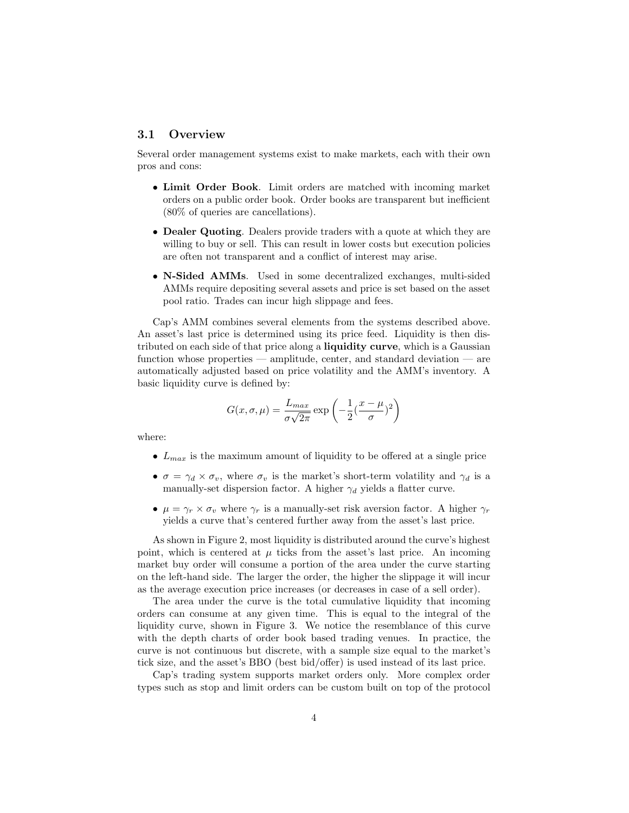### 3.1 Overview

Several order management systems exist to make markets, each with their own pros and cons:

- Limit Order Book. Limit orders are matched with incoming market orders on a public order book. Order books are transparent but inefficient (80% of queries are cancellations).
- Dealer Quoting. Dealers provide traders with a quote at which they are willing to buy or sell. This can result in lower costs but execution policies are often not transparent and a conflict of interest may arise.
- N-Sided AMMs. Used in some decentralized exchanges, multi-sided AMMs require depositing several assets and price is set based on the asset pool ratio. Trades can incur high slippage and fees.

Cap's AMM combines several elements from the systems described above. An asset's last price is determined using its price feed. Liquidity is then distributed on each side of that price along a liquidity curve, which is a Gaussian function whose properties — amplitude, center, and standard deviation — are automatically adjusted based on price volatility and the AMM's inventory. A basic liquidity curve is defined by:

$$
G(x, \sigma, \mu) = \frac{L_{max}}{\sigma \sqrt{2\pi}} \exp\left(-\frac{1}{2}(\frac{x-\mu}{\sigma})^2\right)
$$

where:

- $L_{max}$  is the maximum amount of liquidity to be offered at a single price
- $\sigma = \gamma_d \times \sigma_v$ , where  $\sigma_v$  is the market's short-term volatility and  $\gamma_d$  is a manually-set dispersion factor. A higher  $\gamma_d$  yields a flatter curve.
- $\mu = \gamma_r \times \sigma_v$  where  $\gamma_r$  is a manually-set risk aversion factor. A higher  $\gamma_r$ yields a curve that's centered further away from the asset's last price.

As shown in Figure [2,](#page-4-0) most liquidity is distributed around the curve's highest point, which is centered at  $\mu$  ticks from the asset's last price. An incoming market buy order will consume a portion of the area under the curve starting on the left-hand side. The larger the order, the higher the slippage it will incur as the average execution price increases (or decreases in case of a sell order).

The area under the curve is the total cumulative liquidity that incoming orders can consume at any given time. This is equal to the integral of the liquidity curve, shown in Figure [3.](#page-4-1) We notice the resemblance of this curve with the depth charts of order book based trading venues. In practice, the curve is not continuous but discrete, with a sample size equal to the market's tick size, and the asset's BBO (best bid/offer) is used instead of its last price.

Cap's trading system supports market orders only. More complex order types such as stop and limit orders can be custom built on top of the protocol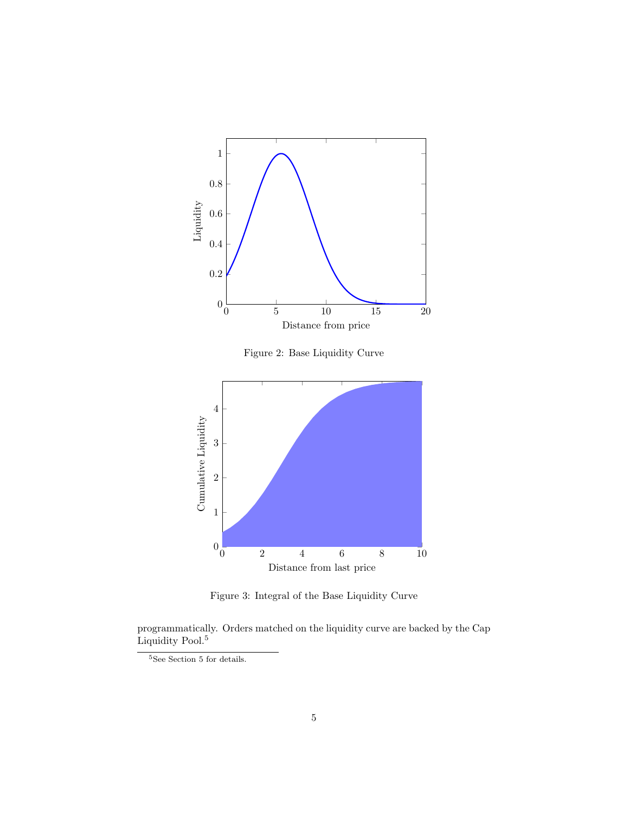

Figure 3: Integral of the Base Liquidity Curve

0 2 4 6 8 10

<span id="page-4-1"></span>Distance from last price

programmatically. Orders matched on the liquidity curve are backed by the Cap Liquidity Pool.<sup>[5](#page-4-2)</sup>

 $0\frac{1}{0}$ 

<span id="page-4-0"></span>1

<span id="page-4-2"></span> $^5{\rm{See}}$  $^5{\rm{See}}$  $^5{\rm{See}}$  Section 5 for details.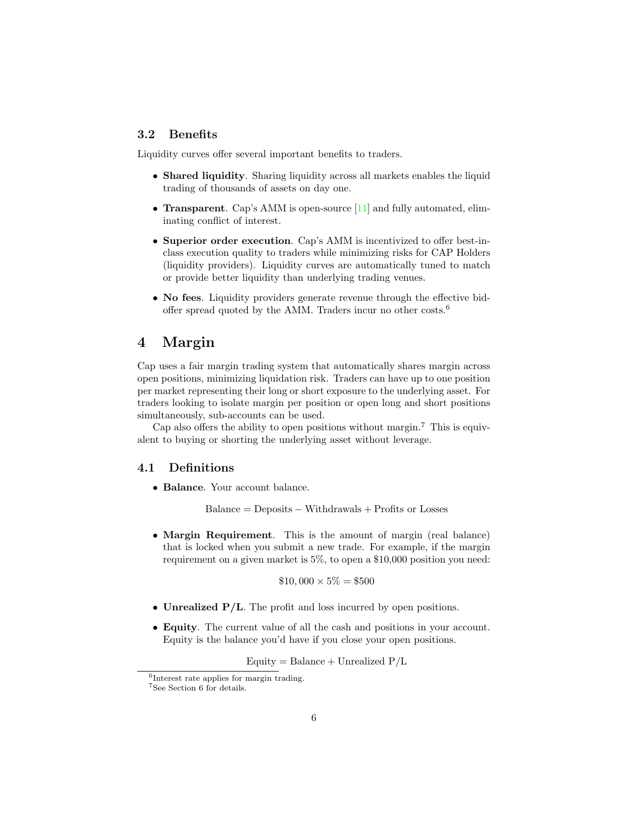## 3.2 Benefits

Liquidity curves offer several important benefits to traders.

- Shared liquidity. Sharing liquidity across all markets enables the liquid trading of thousands of assets on day one.
- **Transparent.** Cap's AMM is open-source [\[11\]](#page-15-10) and fully automated, eliminating conflict of interest.
- Superior order execution. Cap's AMM is incentivized to offer best-inclass execution quality to traders while minimizing risks for CAP Holders (liquidity providers). Liquidity curves are automatically tuned to match or provide better liquidity than underlying trading venues.
- No fees. Liquidity providers generate revenue through the effective bidoffer spread quoted by the AMM. Traders incur no other costs.[6](#page-5-0)

# 4 Margin

Cap uses a fair margin trading system that automatically shares margin across open positions, minimizing liquidation risk. Traders can have up to one position per market representing their long or short exposure to the underlying asset. For traders looking to isolate margin per position or open long and short positions simultaneously, sub-accounts can be used.

Cap also offers the ability to open positions without margin.[7](#page-5-1) This is equivalent to buying or shorting the underlying asset without leverage.

### 4.1 Definitions

• Balance. Your account balance.

 $Balance = Deposits - With drawsls + Profits or Losses$ 

• Margin Requirement. This is the amount of margin (real balance) that is locked when you submit a new trade. For example, if the margin requirement on a given market is 5%, to open a \$10,000 position you need:

$$
$10,000 \times 5\% = $500
$$

- Unrealized  $P/L$ . The profit and loss incurred by open positions.
- Equity. The current value of all the cash and positions in your account. Equity is the balance you'd have if you close your open positions.

Equity = Balance + Unrealized  $P/L$ 

<span id="page-5-0"></span><sup>6</sup> Interest rate applies for margin trading.

<span id="page-5-1"></span><sup>7</sup>See Section [6](#page-11-0) for details.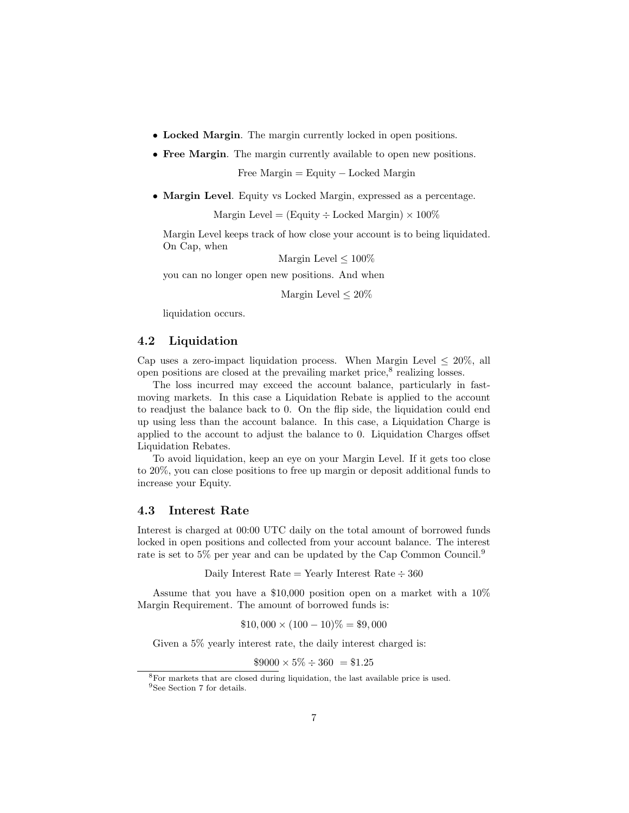- Locked Margin. The margin currently locked in open positions.
- Free Margin. The margin currently available to open new positions.

Free Margin = Equity − Locked Margin

• Margin Level. Equity vs Locked Margin, expressed as a percentage.

Margin Level = (Equity  $\div$  Locked Margin)  $\times$  100%

Margin Level keeps track of how close your account is to being liquidated. On Cap, when

Margin Level  $\leq 100\%$ 

you can no longer open new positions. And when

Margin Level  $\leq 20\%$ 

liquidation occurs.

### 4.2 Liquidation

Cap uses a zero-impact liquidation process. When Margin Level  $\leq 20\%$ , all open positions are closed at the prevailing market price, ${}^{8}$  ${}^{8}$  ${}^{8}$  realizing losses.

The loss incurred may exceed the account balance, particularly in fastmoving markets. In this case a Liquidation Rebate is applied to the account to readjust the balance back to 0. On the flip side, the liquidation could end up using less than the account balance. In this case, a Liquidation Charge is applied to the account to adjust the balance to 0. Liquidation Charges offset Liquidation Rebates.

To avoid liquidation, keep an eye on your Margin Level. If it gets too close to 20%, you can close positions to free up margin or deposit additional funds to increase your Equity.

### 4.3 Interest Rate

Interest is charged at 00:00 UTC daily on the total amount of borrowed funds locked in open positions and collected from your account balance. The interest rate is set to 5% per year and can be updated by the Cap Common Council.[9](#page-6-1)

Daily Interest Rate  $=$  Yearly Interest Rate  $\div 360$ 

Assume that you have a \$10,000 position open on a market with a 10% Margin Requirement. The amount of borrowed funds is:

$$
$10,000 \times (100 - 10)\% = $9,000
$$

Given a 5% yearly interest rate, the daily interest charged is:

 $$9000 \times 5\% \div 360 = $1.25$ 

<span id="page-6-0"></span><sup>8</sup>For markets that are closed during liquidation, the last available price is used.

<span id="page-6-1"></span><sup>9</sup>See Section [7](#page-12-0) for details.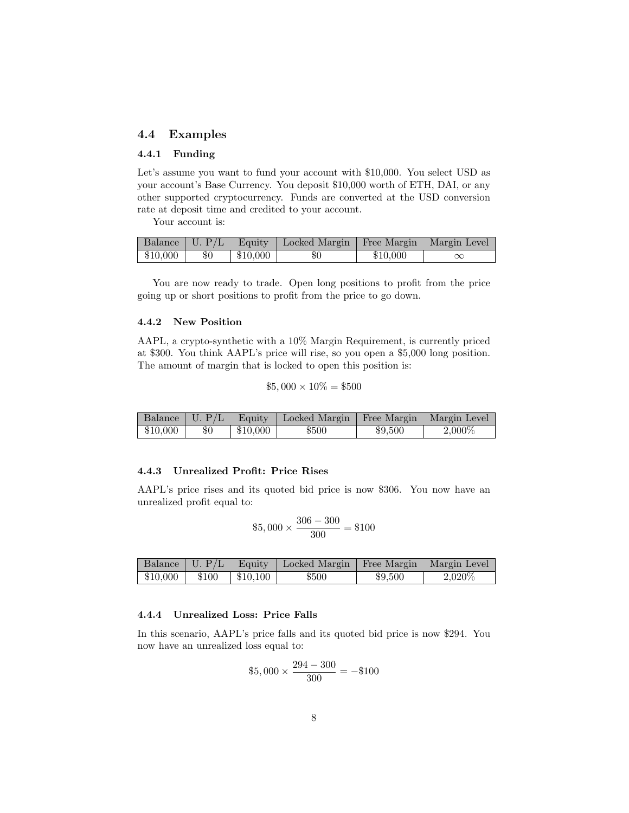## 4.4 Examples

### 4.4.1 Funding

Let's assume you want to fund your account with \$10,000. You select USD as your account's Base Currency. You deposit \$10,000 worth of ETH, DAI, or any other supported cryptocurrency. Funds are converted at the USD conversion rate at deposit time and credited to your account.

Your account is:

|          |       |          | Balance   U. P/L   Equity   Locked Margin   Free Margin   Margin Level |          |  |
|----------|-------|----------|------------------------------------------------------------------------|----------|--|
| \$10,000 | $\$0$ | \$10,000 | $\$0$                                                                  | \$10,000 |  |

You are now ready to trade. Open long positions to profit from the price going up or short positions to profit from the price to go down.

#### 4.4.2 New Position

AAPL, a crypto-synthetic with a 10% Margin Requirement, is currently priced at \$300. You think AAPL's price will rise, so you open a \$5,000 long position. The amount of margin that is locked to open this position is:

$$
$5,000 \times 10\% = $500
$$

|          |     |          | Balance   U. P/L   Equity   Locked Margin   Free Margin   Margin Level |         |        |
|----------|-----|----------|------------------------------------------------------------------------|---------|--------|
| \$10,000 | \$0 | \$10,000 | \$500                                                                  | \$9,500 | 2,000% |

#### 4.4.3 Unrealized Profit: Price Rises

AAPL's price rises and its quoted bid price is now \$306. You now have an unrealized profit equal to:

$$
$5,000 \times \frac{306 - 300}{300} = $100
$$

|                                                                                                                    |  | Balance U. P/L Equity Locked Margin Free Margin   Margin Level |         |         |
|--------------------------------------------------------------------------------------------------------------------|--|----------------------------------------------------------------|---------|---------|
| $\begin{array}{ c c c c c c c c c } \hline \text{$$510,000} & \text{$$5100} & \text{$$510,100} \hline \end{array}$ |  | \$500                                                          | \$9,500 | 2,020\% |

### 4.4.4 Unrealized Loss: Price Falls

In this scenario, AAPL's price falls and its quoted bid price is now \$294. You now have an unrealized loss equal to:

$$
$5,000 \times \frac{294 - 300}{300} = -\$100
$$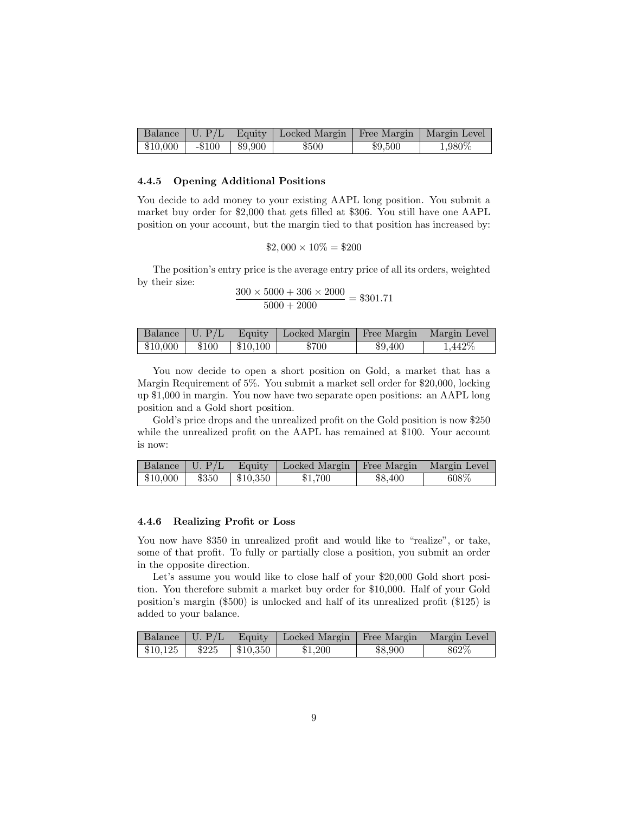|           |          |         | Balance   U. P/L   Equity   Locked Margin   Free Margin   Margin Level |         |        |
|-----------|----------|---------|------------------------------------------------------------------------|---------|--------|
| $$10,000$ | $-\$100$ | \$9,900 | \$500                                                                  | \$9,500 | 1,980% |

#### 4.4.5 Opening Additional Positions

You decide to add money to your existing AAPL long position. You submit a market buy order for \$2,000 that gets filled at \$306. You still have one AAPL position on your account, but the margin tied to that position has increased by:

$$
$2,000 \times 10\% = $200
$$

The position's entry price is the average entry price of all its orders, weighted by their size:

$$
\frac{300 \times 5000 + 306 \times 2000}{5000 + 2000} = $301.71
$$

|                   |          | Balance   U. P/L   Equity   Locked Margin   Free Margin   Margin Level |         |         |
|-------------------|----------|------------------------------------------------------------------------|---------|---------|
| $$10,000$   \$100 | \$10,100 | \$700                                                                  | \$9.400 | 1,442\% |

You now decide to open a short position on Gold, a market that has a Margin Requirement of 5%. You submit a market sell order for \$20,000, locking up \$1,000 in margin. You now have two separate open positions: an AAPL long position and a Gold short position.

Gold's price drops and the unrealized profit on the Gold position is now \$250 while the unrealized profit on the AAPL has remained at \$100. Your account is now:

|                              |  | Balance U. P/L Equity Locked Margin Free Margin Margin Level |         |       |
|------------------------------|--|--------------------------------------------------------------|---------|-------|
| $$10,000$   \$350   \$10,350 |  | \$1.700                                                      | \$8.400 | 608\% |

#### 4.4.6 Realizing Profit or Loss

You now have \$350 in unrealized profit and would like to "realize", or take, some of that profit. To fully or partially close a position, you submit an order in the opposite direction.

Let's assume you would like to close half of your \$20,000 Gold short position. You therefore submit a market buy order for \$10,000. Half of your Gold position's margin (\$500) is unlocked and half of its unrealized profit (\$125) is added to your balance.

|                                                                                                                   |  | Balance U. P/L   Equity   Locked Margin   Free Margin   Margin Level |         |         |
|-------------------------------------------------------------------------------------------------------------------|--|----------------------------------------------------------------------|---------|---------|
| $\begin{array}{ c c c c c c c c } \hline \text{$$40,125$} & \text{$$225$} & \text{$$310,350$} \hline \end{array}$ |  | \$1,200                                                              | \$8,900 | $862\%$ |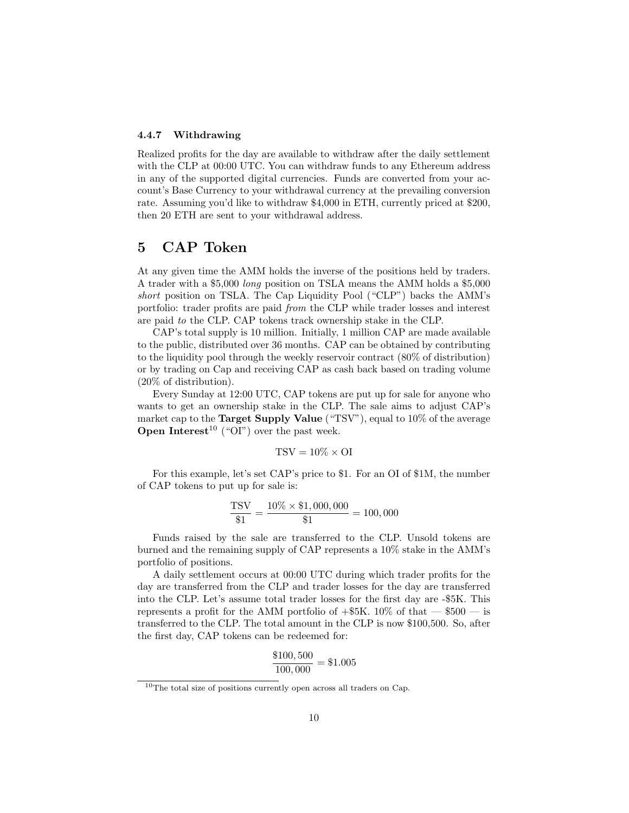### 4.4.7 Withdrawing

Realized profits for the day are available to withdraw after the daily settlement with the CLP at 00:00 UTC. You can withdraw funds to any Ethereum address in any of the supported digital currencies. Funds are converted from your account's Base Currency to your withdrawal currency at the prevailing conversion rate. Assuming you'd like to withdraw \$4,000 in ETH, currently priced at \$200, then 20 ETH are sent to your withdrawal address.

## <span id="page-9-0"></span>5 CAP Token

At any given time the AMM holds the inverse of the positions held by traders. A trader with a \$5,000 long position on TSLA means the AMM holds a \$5,000 short position on TSLA. The Cap Liquidity Pool ("CLP") backs the AMM's portfolio: trader profits are paid from the CLP while trader losses and interest are paid to the CLP. CAP tokens track ownership stake in the CLP.

CAP's total supply is 10 million. Initially, 1 million CAP are made available to the public, distributed over 36 months. CAP can be obtained by contributing to the liquidity pool through the weekly reservoir contract (80% of distribution) or by trading on Cap and receiving CAP as cash back based on trading volume (20% of distribution).

Every Sunday at 12:00 UTC, CAP tokens are put up for sale for anyone who wants to get an ownership stake in the CLP. The sale aims to adjust CAP's market cap to the **Target Supply Value** ("TSV"), equal to 10% of the average **Open Interest**<sup>[10](#page-9-1)</sup> ("OI") over the past week.

$$
TSV = 10\% \times \text{OI}
$$

For this example, let's set CAP's price to \$1. For an OI of \$1M, the number of CAP tokens to put up for sale is:

$$
\frac{\text{TSV}}{\$1} = \frac{10\% \times \$1,000,000}{\$1} = 100,000
$$

Funds raised by the sale are transferred to the CLP. Unsold tokens are burned and the remaining supply of CAP represents a 10% stake in the AMM's portfolio of positions.

A daily settlement occurs at 00:00 UTC during which trader profits for the day are transferred from the CLP and trader losses for the day are transferred into the CLP. Let's assume total trader losses for the first day are -\$5K. This represents a profit for the AMM portfolio of  $+$ \$5K. 10% of that  $-$  \$500  $-$  is transferred to the CLP. The total amount in the CLP is now \$100,500. So, after the first day, CAP tokens can be redeemed for:

$$
\frac{\$100,500}{100,000} = \$1.005
$$

<span id="page-9-1"></span><sup>10</sup>The total size of positions currently open across all traders on Cap.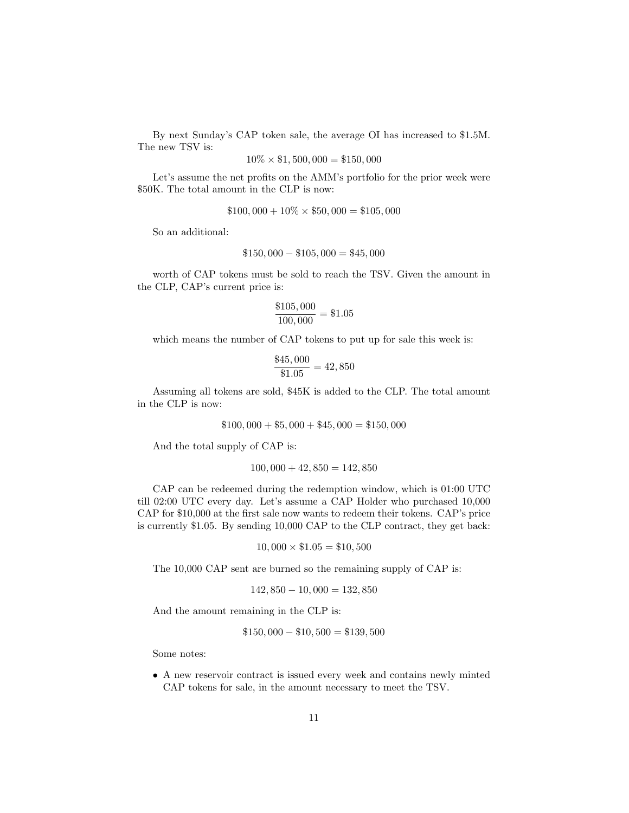By next Sunday's CAP token sale, the average OI has increased to \$1.5M. The new TSV is:

$$
10\% \times \$1,500,000 = \$150,000
$$

Let's assume the net profits on the AMM's portfolio for the prior week were \$50K. The total amount in the CLP is now:

$$
$100,000 + 10\% \times $50,000 = $105,000
$$

So an additional:

$$
$150,000 - $105,000 = $45,000
$$

worth of CAP tokens must be sold to reach the TSV. Given the amount in the CLP, CAP's current price is:

$$
\frac{\$105,000}{100,000} = \$1.05
$$

which means the number of CAP tokens to put up for sale this week is:

$$
\frac{\$45,000}{\$1.05} = 42,850
$$

Assuming all tokens are sold, \$45K is added to the CLP. The total amount in the CLP is now:

$$
$100,000 + $5,000 + $45,000 = $150,000
$$

And the total supply of CAP is:

$$
100,000 + 42,850 = 142,850
$$

CAP can be redeemed during the redemption window, which is 01:00 UTC till 02:00 UTC every day. Let's assume a CAP Holder who purchased 10,000 CAP for \$10,000 at the first sale now wants to redeem their tokens. CAP's price is currently \$1.05. By sending 10,000 CAP to the CLP contract, they get back:

$$
10,000 \times \$1.05 = \$10,500
$$

The 10,000 CAP sent are burned so the remaining supply of CAP is:

$$
142,850 - 10,000 = 132,850
$$

And the amount remaining in the CLP is:

$$
$150,000 - $10,500 = $139,500
$$

Some notes:

• A new reservoir contract is issued every week and contains newly minted CAP tokens for sale, in the amount necessary to meet the TSV.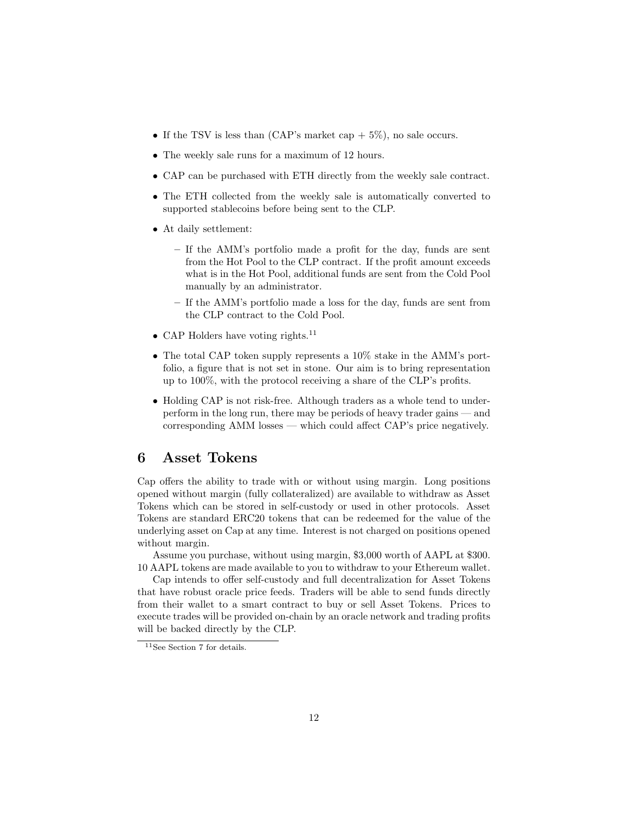- If the TSV is less than (CAP's market cap  $+5\%$ ), no sale occurs.
- The weekly sale runs for a maximum of 12 hours.
- CAP can be purchased with ETH directly from the weekly sale contract.
- The ETH collected from the weekly sale is automatically converted to supported stablecoins before being sent to the CLP.
- At daily settlement:
	- If the AMM's portfolio made a profit for the day, funds are sent from the Hot Pool to the CLP contract. If the profit amount exceeds what is in the Hot Pool, additional funds are sent from the Cold Pool manually by an administrator.
	- If the AMM's portfolio made a loss for the day, funds are sent from the CLP contract to the Cold Pool.
- CAP Holders have voting rights.<sup>[11](#page-11-1)</sup>
- The total CAP token supply represents a 10% stake in the AMM's portfolio, a figure that is not set in stone. Our aim is to bring representation up to 100%, with the protocol receiving a share of the CLP's profits.
- Holding CAP is not risk-free. Although traders as a whole tend to underperform in the long run, there may be periods of heavy trader gains — and corresponding AMM losses — which could affect CAP's price negatively.

## <span id="page-11-0"></span>6 Asset Tokens

Cap offers the ability to trade with or without using margin. Long positions opened without margin (fully collateralized) are available to withdraw as Asset Tokens which can be stored in self-custody or used in other protocols. Asset Tokens are standard ERC20 tokens that can be redeemed for the value of the underlying asset on Cap at any time. Interest is not charged on positions opened without margin.

Assume you purchase, without using margin, \$3,000 worth of AAPL at \$300. 10 AAPL tokens are made available to you to withdraw to your Ethereum wallet.

Cap intends to offer self-custody and full decentralization for Asset Tokens that have robust oracle price feeds. Traders will be able to send funds directly from their wallet to a smart contract to buy or sell Asset Tokens. Prices to execute trades will be provided on-chain by an oracle network and trading profits will be backed directly by the CLP.

<span id="page-11-1"></span><sup>11</sup>See Section [7](#page-12-0) for details.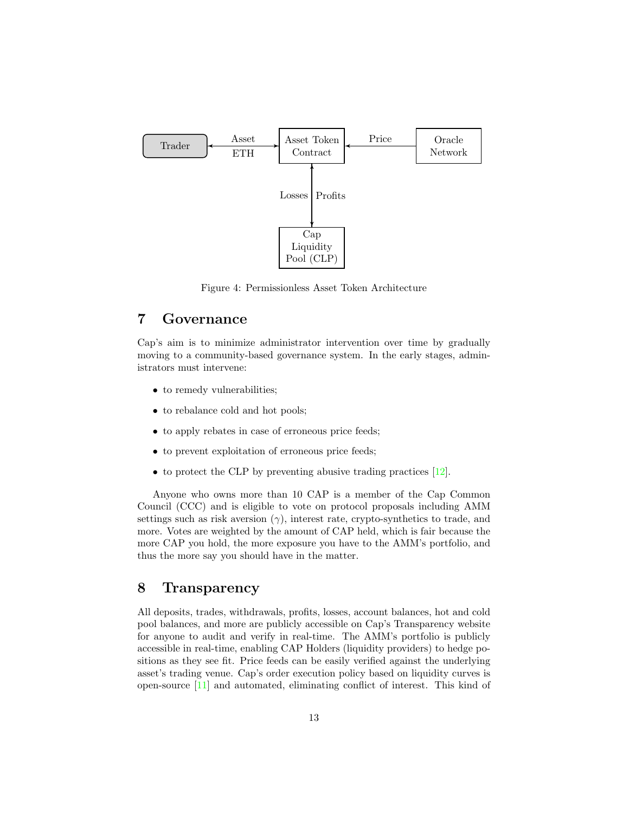

Figure 4: Permissionless Asset Token Architecture

# <span id="page-12-0"></span>7 Governance

Cap's aim is to minimize administrator intervention over time by gradually moving to a community-based governance system. In the early stages, administrators must intervene:

- to remedy vulnerabilities;
- to rebalance cold and hot pools;
- to apply rebates in case of erroneous price feeds;
- to prevent exploitation of erroneous price feeds;
- to protect the CLP by preventing abusive trading practices [\[12\]](#page-15-11).

Anyone who owns more than 10 CAP is a member of the Cap Common Council (CCC) and is eligible to vote on protocol proposals including AMM settings such as risk aversion  $(\gamma)$ , interest rate, crypto-synthetics to trade, and more. Votes are weighted by the amount of CAP held, which is fair because the more CAP you hold, the more exposure you have to the AMM's portfolio, and thus the more say you should have in the matter.

# 8 Transparency

All deposits, trades, withdrawals, profits, losses, account balances, hot and cold pool balances, and more are publicly accessible on Cap's Transparency website for anyone to audit and verify in real-time. The AMM's portfolio is publicly accessible in real-time, enabling CAP Holders (liquidity providers) to hedge positions as they see fit. Price feeds can be easily verified against the underlying asset's trading venue. Cap's order execution policy based on liquidity curves is open-source [\[11\]](#page-15-10) and automated, eliminating conflict of interest. This kind of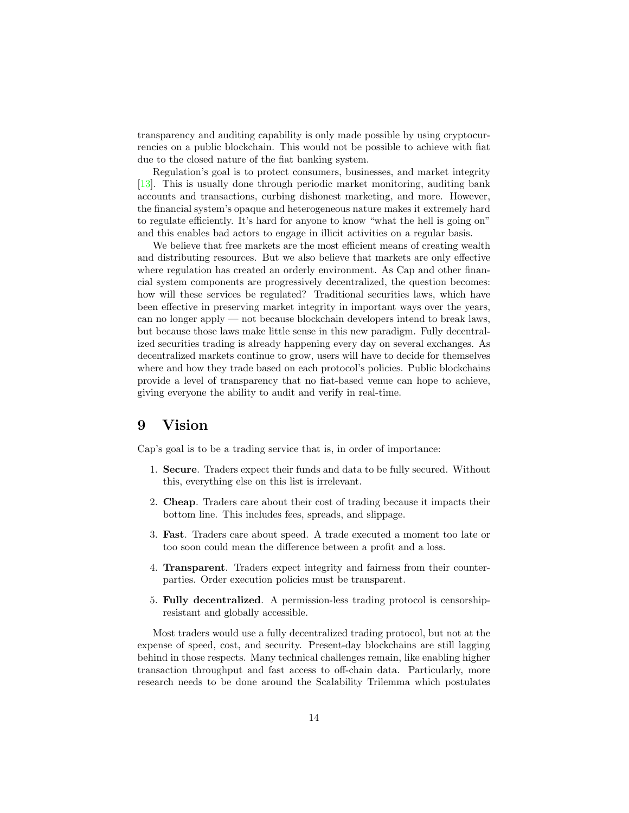transparency and auditing capability is only made possible by using cryptocurrencies on a public blockchain. This would not be possible to achieve with fiat due to the closed nature of the fiat banking system.

Regulation's goal is to protect consumers, businesses, and market integrity [\[13\]](#page-15-12). This is usually done through periodic market monitoring, auditing bank accounts and transactions, curbing dishonest marketing, and more. However, the financial system's opaque and heterogeneous nature makes it extremely hard to regulate efficiently. It's hard for anyone to know "what the hell is going on" and this enables bad actors to engage in illicit activities on a regular basis.

We believe that free markets are the most efficient means of creating wealth and distributing resources. But we also believe that markets are only effective where regulation has created an orderly environment. As Cap and other financial system components are progressively decentralized, the question becomes: how will these services be regulated? Traditional securities laws, which have been effective in preserving market integrity in important ways over the years, can no longer apply — not because blockchain developers intend to break laws, but because those laws make little sense in this new paradigm. Fully decentralized securities trading is already happening every day on several exchanges. As decentralized markets continue to grow, users will have to decide for themselves where and how they trade based on each protocol's policies. Public blockchains provide a level of transparency that no fiat-based venue can hope to achieve, giving everyone the ability to audit and verify in real-time.

# 9 Vision

Cap's goal is to be a trading service that is, in order of importance:

- 1. Secure. Traders expect their funds and data to be fully secured. Without this, everything else on this list is irrelevant.
- 2. Cheap. Traders care about their cost of trading because it impacts their bottom line. This includes fees, spreads, and slippage.
- 3. Fast. Traders care about speed. A trade executed a moment too late or too soon could mean the difference between a profit and a loss.
- 4. Transparent. Traders expect integrity and fairness from their counterparties. Order execution policies must be transparent.
- 5. Fully decentralized. A permission-less trading protocol is censorshipresistant and globally accessible.

Most traders would use a fully decentralized trading protocol, but not at the expense of speed, cost, and security. Present-day blockchains are still lagging behind in those respects. Many technical challenges remain, like enabling higher transaction throughput and fast access to off-chain data. Particularly, more research needs to be done around the Scalability Trilemma which postulates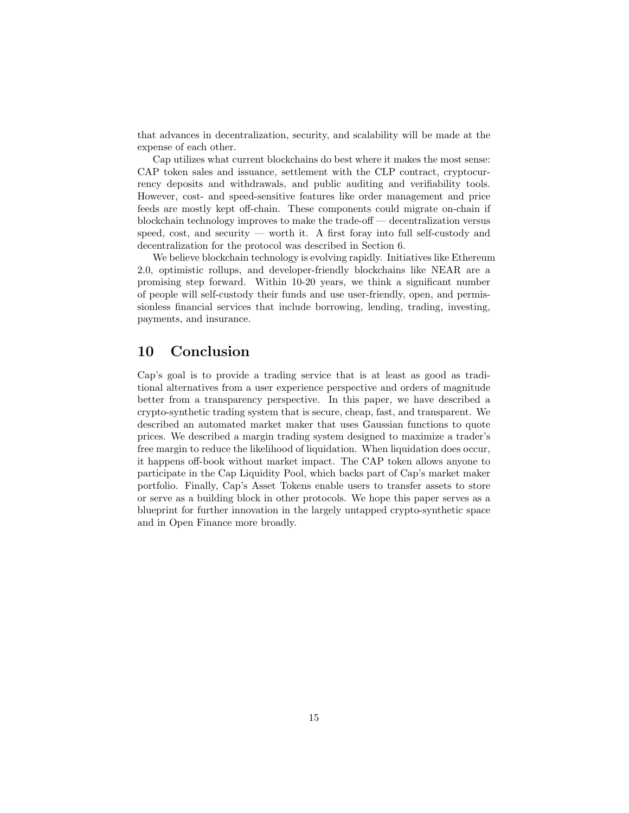that advances in decentralization, security, and scalability will be made at the expense of each other.

Cap utilizes what current blockchains do best where it makes the most sense: CAP token sales and issuance, settlement with the CLP contract, cryptocurrency deposits and withdrawals, and public auditing and verifiability tools. However, cost- and speed-sensitive features like order management and price feeds are mostly kept off-chain. These components could migrate on-chain if blockchain technology improves to make the trade-off — decentralization versus speed, cost, and security — worth it. A first foray into full self-custody and decentralization for the protocol was described in Section [6.](#page-11-0)

We believe blockchain technology is evolving rapidly. Initiatives like Ethereum 2.0, optimistic rollups, and developer-friendly blockchains like NEAR are a promising step forward. Within 10-20 years, we think a significant number of people will self-custody their funds and use user-friendly, open, and permissionless financial services that include borrowing, lending, trading, investing, payments, and insurance.

# 10 Conclusion

Cap's goal is to provide a trading service that is at least as good as traditional alternatives from a user experience perspective and orders of magnitude better from a transparency perspective. In this paper, we have described a crypto-synthetic trading system that is secure, cheap, fast, and transparent. We described an automated market maker that uses Gaussian functions to quote prices. We described a margin trading system designed to maximize a trader's free margin to reduce the likelihood of liquidation. When liquidation does occur, it happens off-book without market impact. The CAP token allows anyone to participate in the Cap Liquidity Pool, which backs part of Cap's market maker portfolio. Finally, Cap's Asset Tokens enable users to transfer assets to store or serve as a building block in other protocols. We hope this paper serves as a blueprint for further innovation in the largely untapped crypto-synthetic space and in Open Finance more broadly.